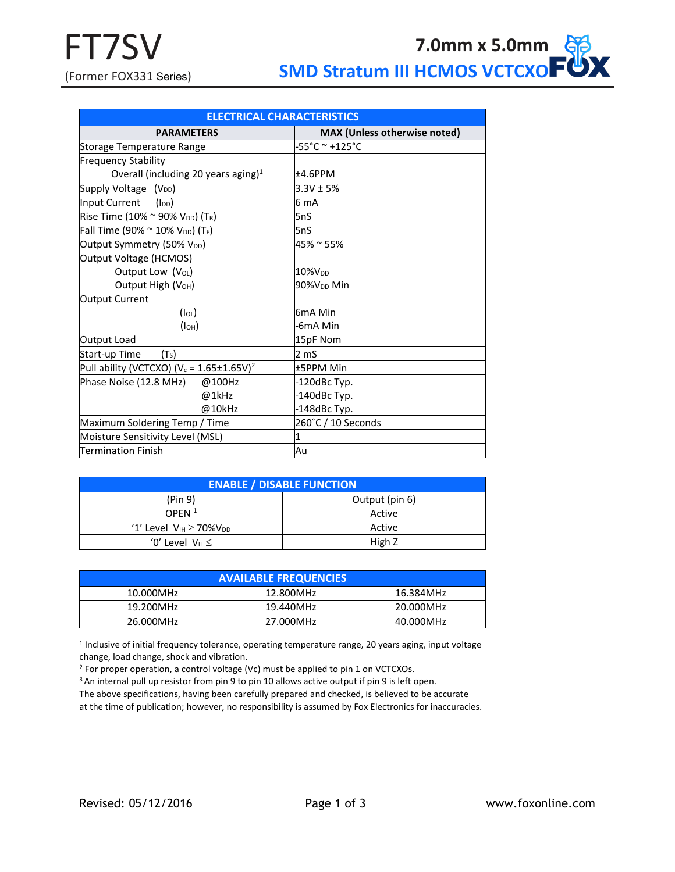| <b>ELECTRICAL CHARACTERISTICS</b>                                |                                     |  |  |  |  |  |
|------------------------------------------------------------------|-------------------------------------|--|--|--|--|--|
| <b>PARAMETERS</b>                                                | <b>MAX (Unless otherwise noted)</b> |  |  |  |  |  |
| <b>Storage Temperature Range</b>                                 | -55°C ~ +125°C                      |  |  |  |  |  |
| <b>Frequency Stability</b>                                       |                                     |  |  |  |  |  |
| Overall (including 20 years aging) <sup>1</sup>                  | ±4.6PPM                             |  |  |  |  |  |
| Supply Voltage (V <sub>DD</sub> )                                | $3.3V \pm 5%$                       |  |  |  |  |  |
| Input Current<br>$(I_{DD})$                                      | 6 mA                                |  |  |  |  |  |
| Rise Time (10% $\sim$ 90% V <sub>DD</sub> ) (T <sub>R</sub> )    | 5nS                                 |  |  |  |  |  |
| Fall Time (90% $\sim$ 10% V <sub>DD</sub> ) (T <sub>F</sub> )    | 5nS                                 |  |  |  |  |  |
| Output Symmetry (50% V <sub>DD</sub> )                           | 45% ~ 55%                           |  |  |  |  |  |
| Output Voltage (HCMOS)                                           |                                     |  |  |  |  |  |
| Output Low (V <sub>OL</sub> )                                    | 10%V <sub>pp</sub>                  |  |  |  |  |  |
| Output High (V <sub>OH</sub> )                                   | 90%V <sub>DD</sub> Min              |  |  |  |  |  |
| Output Current                                                   |                                     |  |  |  |  |  |
| $(I_{OL})$                                                       | 6mA Min                             |  |  |  |  |  |
| (I <sub>OH</sub> )                                               | -6mA Min                            |  |  |  |  |  |
| Output Load                                                      | 15pF Nom                            |  |  |  |  |  |
| Start-up Time<br>(T <sub>S</sub> )                               | 2 mS                                |  |  |  |  |  |
| Pull ability (VCTCXO) (V <sub>c</sub> = 1.65±1.65V) <sup>2</sup> | <b>±5PPM Min</b>                    |  |  |  |  |  |
| Phase Noise (12.8 MHz)<br>@100Hz                                 | -120dBc Typ.                        |  |  |  |  |  |
| @1kHz                                                            | -140dBc Typ.                        |  |  |  |  |  |
| @10kHz                                                           | -148dBc Typ.                        |  |  |  |  |  |
| Maximum Soldering Temp / Time                                    | 260°C / 10 Seconds                  |  |  |  |  |  |
| Moisture Sensitivity Level (MSL)                                 |                                     |  |  |  |  |  |
| <b>Termination Finish</b>                                        | Au                                  |  |  |  |  |  |

| <b>ENABLE / DISABLE FUNCTION</b>  |                |  |  |  |  |  |
|-----------------------------------|----------------|--|--|--|--|--|
| (Pin 9)                           | Output (pin 6) |  |  |  |  |  |
| OPEN $1$                          | Active         |  |  |  |  |  |
| '1' Level $V_{IH} \ge 70\%V_{DD}$ | Active         |  |  |  |  |  |
| '0' Level $V_{\parallel} \leq$    | High Z         |  |  |  |  |  |

| <b>AVAILABLE FREQUENCIES</b> |           |           |  |  |  |
|------------------------------|-----------|-----------|--|--|--|
| 10.000MHz                    | 12.800MHz | 16.384MHz |  |  |  |
| 19.200MHz                    | 19.440MHz | 20.000MHz |  |  |  |
| 26.000MHz                    | 27.000MHz | 40.000MHz |  |  |  |

<sup>1</sup> Inclusive of initial frequency tolerance, operating temperature range, 20 years aging, input voltage change, load change, shock and vibration.

<sup>2</sup> For proper operation, a control voltage (Vc) must be applied to pin 1 on VCTCXOs.

<sup>3</sup> An internal pull up resistor from pin 9 to pin 10 allows active output if pin 9 is left open.

The above specifications, having been carefully prepared and checked, is believed to be accurate at the time of publication; however, no responsibility is assumed by Fox Electronics for inaccuracies.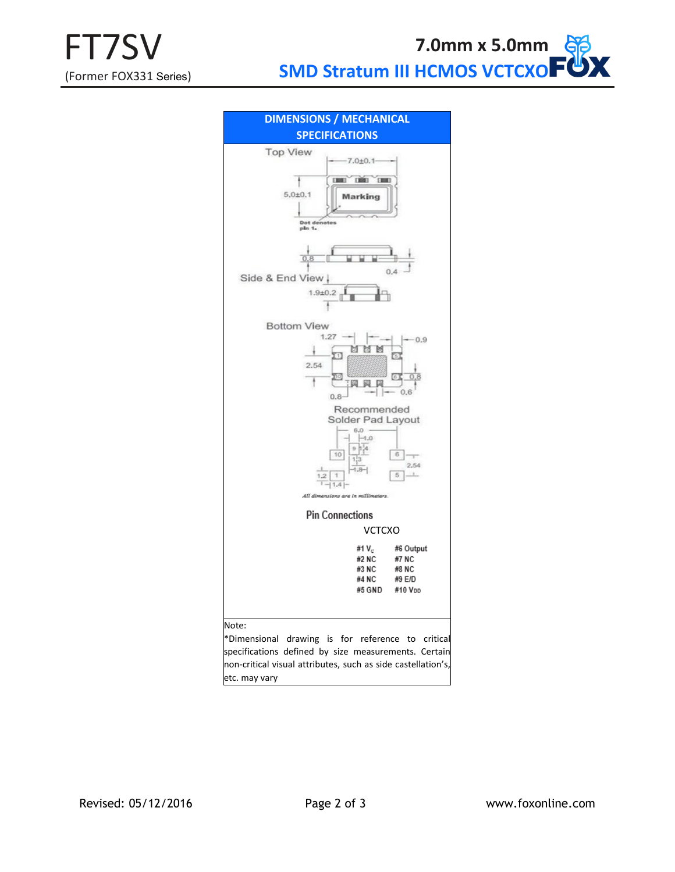